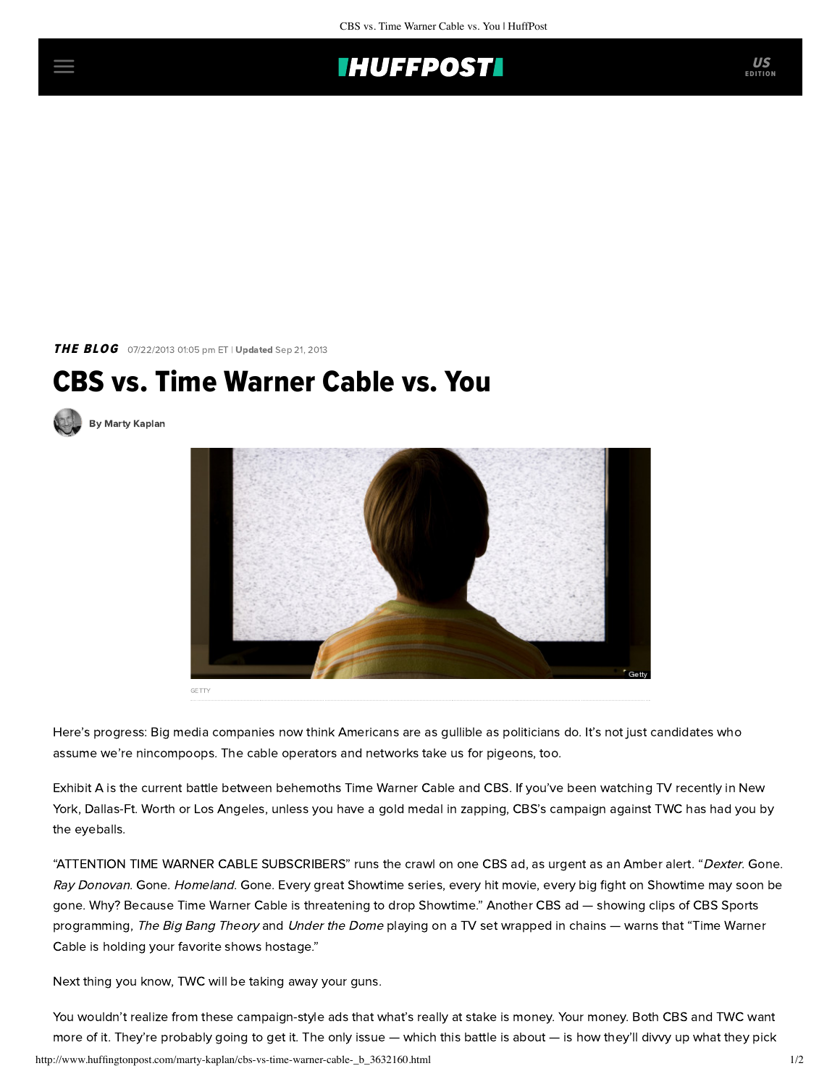

THE BLOG 07/22/2013 01:05 pm ET | Updated Sep 21, 2013

## CBS vs. Time Warner Cable vs. You



[By Marty Kaplan](http://www.huffingtonpost.com/author/marty-kaplan)



Here's progress: Big media companies now think Americans are as gullible as politicians do. It's not just candidates who assume we're nincompoops. The cable operators and networks take us for pigeons, too.

Exhibit A is the current [battle](http://www.hollywoodreporter.com/news/cbs-time-warner-cable-set-588595) between behemoths Time Warner Cable and CBS. If you've been watching TV recently in New York, Dallas-Ft. Worth or Los Angeles, unless you have a gold medal in zapping, CBS's campaign against TWC has had you by the eyeballs.

"ATTENTION TIME WARNER CABLE SUBSCRIBERS" runs the crawl on one CBS ad, as urgent as an Amber alert. "Dexter. Gone. Ray Donovan. Gone. Homeland. Gone. Every great Showtime series, every hit movie, every big fight on Showtime may soon be gone. Why? Because Time Warner Cable is threatening to drop Showtime." [Another CBS ad](http://www.forbes.com/sites/eliseackerman/2013/07/19/cbs-launches-fear-mongering-ad-campaign-as-internet-broadcasting-threatens-retransmission-fees/) — showing clips of CBS Sports programming, The Big Bang Theory and Under the Dome playing on a TV set wrapped in chains — warns that "Time Warner Cable is holding your favorite shows hostage."

Next thing you know, TWC will be taking away your guns.

http://www.huffingtonpost.com/marty-kaplan/cbs-vs-time-warner-cable-\_b\_3632160.html 1/2 You wouldn't realize from these campaign-style ads that what's really at stake is money. Your money. Both CBS and TWC want more of it. They're probably going to get it. The only issue — which this battle is about — is how they'll divvy up what they pick